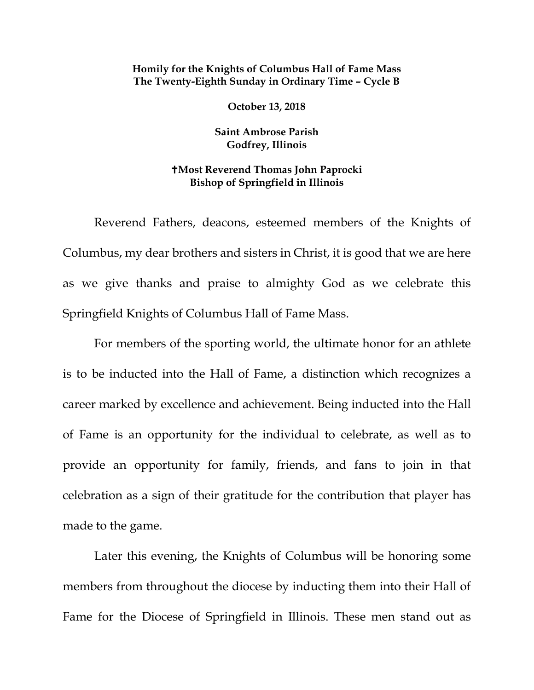## **Homily for the Knights of Columbus Hall of Fame Mass The Twenty-Eighth Sunday in Ordinary Time – Cycle B**

**October 13, 2018**

**Saint Ambrose Parish Godfrey, Illinois**

## **Most Reverend Thomas John Paprocki Bishop of Springfield in Illinois**

Reverend Fathers, deacons, esteemed members of the Knights of Columbus, my dear brothers and sisters in Christ, it is good that we are here as we give thanks and praise to almighty God as we celebrate this Springfield Knights of Columbus Hall of Fame Mass.

For members of the sporting world, the ultimate honor for an athlete is to be inducted into the Hall of Fame, a distinction which recognizes a career marked by excellence and achievement. Being inducted into the Hall of Fame is an opportunity for the individual to celebrate, as well as to provide an opportunity for family, friends, and fans to join in that celebration as a sign of their gratitude for the contribution that player has made to the game.

Later this evening, the Knights of Columbus will be honoring some members from throughout the diocese by inducting them into their Hall of Fame for the Diocese of Springfield in Illinois. These men stand out as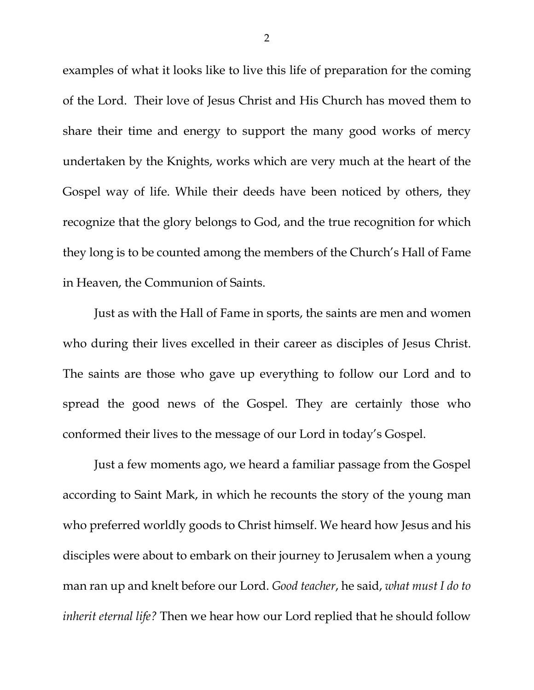examples of what it looks like to live this life of preparation for the coming of the Lord. Their love of Jesus Christ and His Church has moved them to share their time and energy to support the many good works of mercy undertaken by the Knights, works which are very much at the heart of the Gospel way of life. While their deeds have been noticed by others, they recognize that the glory belongs to God, and the true recognition for which they long is to be counted among the members of the Church's Hall of Fame in Heaven, the Communion of Saints.

Just as with the Hall of Fame in sports, the saints are men and women who during their lives excelled in their career as disciples of Jesus Christ. The saints are those who gave up everything to follow our Lord and to spread the good news of the Gospel. They are certainly those who conformed their lives to the message of our Lord in today's Gospel.

Just a few moments ago, we heard a familiar passage from the Gospel according to Saint Mark, in which he recounts the story of the young man who preferred worldly goods to Christ himself. We heard how Jesus and his disciples were about to embark on their journey to Jerusalem when a young man ran up and knelt before our Lord. *Good teacher*, he said, *what must I do to inherit eternal life?* Then we hear how our Lord replied that he should follow

2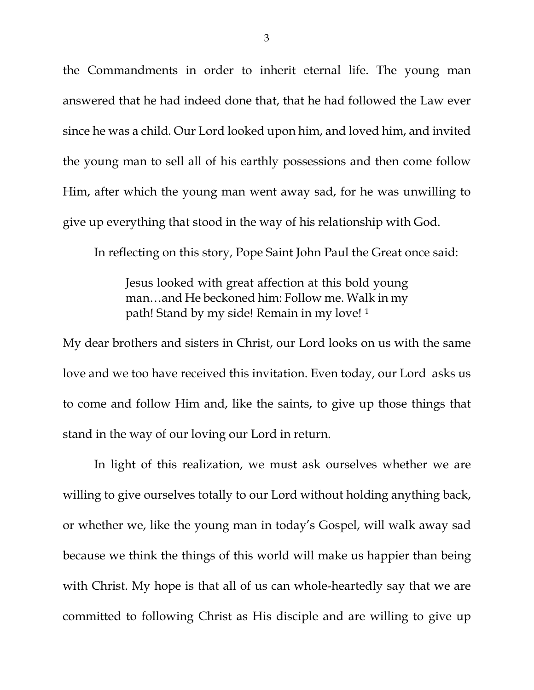the Commandments in order to inherit eternal life. The young man answered that he had indeed done that, that he had followed the Law ever since he was a child. Our Lord looked upon him, and loved him, and invited the young man to sell all of his earthly possessions and then come follow Him, after which the young man went away sad, for he was unwilling to give up everything that stood in the way of his relationship with God.

In reflecting on this story, Pope Saint John Paul the Great once said:

Jesus looked with great affection at this bold young man…and He beckoned him: Follow me. Walk in my path! Stand by my side! Remain in my love! [1](#page-3-0)

My dear brothers and sisters in Christ, our Lord looks on us with the same love and we too have received this invitation. Even today, our Lord asks us to come and follow Him and, like the saints, to give up those things that stand in the way of our loving our Lord in return.

In light of this realization, we must ask ourselves whether we are willing to give ourselves totally to our Lord without holding anything back, or whether we, like the young man in today's Gospel, will walk away sad because we think the things of this world will make us happier than being with Christ. My hope is that all of us can whole-heartedly say that we are committed to following Christ as His disciple and are willing to give up